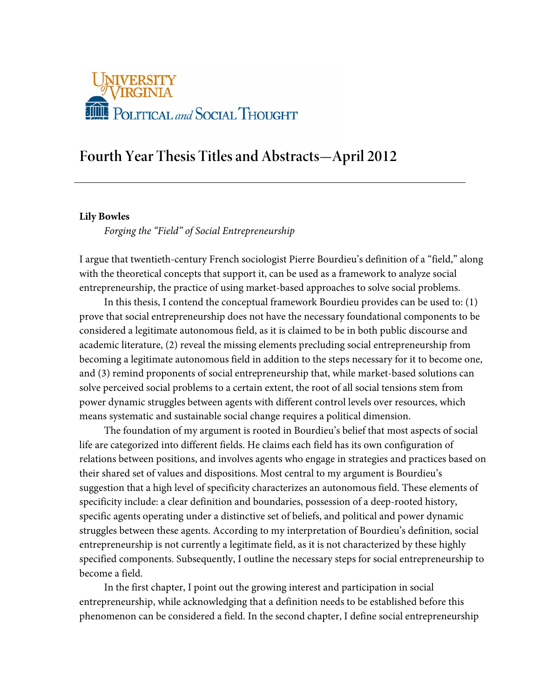

# **Fourth Year Thesis Titles and Abstracts—April 2012**

# **Lily Bowles**

*Forging the "Field" of Social Entrepreneurship*

I argue that twentieth-century French sociologist Pierre Bourdieu's definition of a "field," along with the theoretical concepts that support it, can be used as a framework to analyze social entrepreneurship, the practice of using market-based approaches to solve social problems.

In this thesis, I contend the conceptual framework Bourdieu provides can be used to: (1) prove that social entrepreneurship does not have the necessary foundational components to be considered a legitimate autonomous field, as it is claimed to be in both public discourse and academic literature, (2) reveal the missing elements precluding social entrepreneurship from becoming a legitimate autonomous field in addition to the steps necessary for it to become one, and (3) remind proponents of social entrepreneurship that, while market-based solutions can solve perceived social problems to a certain extent, the root of all social tensions stem from power dynamic struggles between agents with different control levels over resources, which means systematic and sustainable social change requires a political dimension.

The foundation of my argument is rooted in Bourdieu's belief that most aspects of social life are categorized into different fields. He claims each field has its own configuration of relations between positions, and involves agents who engage in strategies and practices based on their shared set of values and dispositions. Most central to my argument is Bourdieu's suggestion that a high level of specificity characterizes an autonomous field. These elements of specificity include: a clear definition and boundaries, possession of a deep-rooted history, specific agents operating under a distinctive set of beliefs, and political and power dynamic struggles between these agents. According to my interpretation of Bourdieu's definition, social entrepreneurship is not currently a legitimate field, as it is not characterized by these highly specified components. Subsequently, I outline the necessary steps for social entrepreneurship to become a field.

In the first chapter, I point out the growing interest and participation in social entrepreneurship, while acknowledging that a definition needs to be established before this phenomenon can be considered a field. In the second chapter, I define social entrepreneurship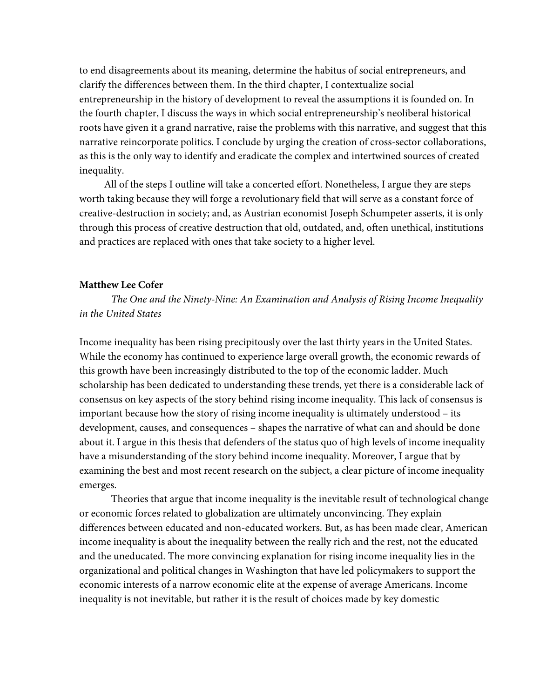to end disagreements about its meaning, determine the habitus of social entrepreneurs, and clarify the differences between them. In the third chapter, I contextualize social entrepreneurship in the history of development to reveal the assumptions it is founded on. In the fourth chapter, I discuss the ways in which social entrepreneurship's neoliberal historical roots have given it a grand narrative, raise the problems with this narrative, and suggest that this narrative reincorporate politics. I conclude by urging the creation of cross-sector collaborations, as this is the only way to identify and eradicate the complex and intertwined sources of created inequality.

All of the steps I outline will take a concerted effort. Nonetheless, I argue they are steps worth taking because they will forge a revolutionary field that will serve as a constant force of creative-destruction in society; and, as Austrian economist Joseph Schumpeter asserts, it is only through this process of creative destruction that old, outdated, and, often unethical, institutions and practices are replaced with ones that take society to a higher level.

# **Matthew Lee Cofer**

*The One and the Ninety-Nine: An Examination and Analysis of Rising Income Inequality in the United States*

Income inequality has been rising precipitously over the last thirty years in the United States. While the economy has continued to experience large overall growth, the economic rewards of this growth have been increasingly distributed to the top of the economic ladder. Much scholarship has been dedicated to understanding these trends, yet there is a considerable lack of consensus on key aspects of the story behind rising income inequality. This lack of consensus is important because how the story of rising income inequality is ultimately understood – its development, causes, and consequences – shapes the narrative of what can and should be done about it. I argue in this thesis that defenders of the status quo of high levels of income inequality have a misunderstanding of the story behind income inequality. Moreover, I argue that by examining the best and most recent research on the subject, a clear picture of income inequality emerges.

Theories that argue that income inequality is the inevitable result of technological change or economic forces related to globalization are ultimately unconvincing. They explain differences between educated and non-educated workers. But, as has been made clear, American income inequality is about the inequality between the really rich and the rest, not the educated and the uneducated. The more convincing explanation for rising income inequality lies in the organizational and political changes in Washington that have led policymakers to support the economic interests of a narrow economic elite at the expense of average Americans. Income inequality is not inevitable, but rather it is the result of choices made by key domestic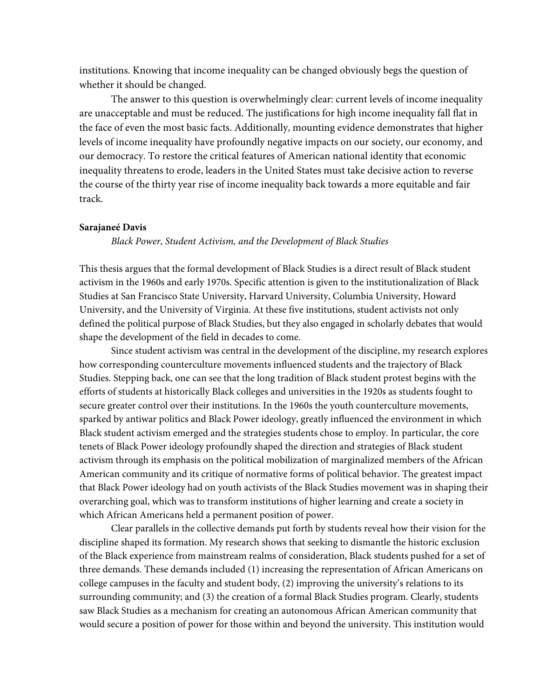institutions. Knowing that income inequality can be changed obviously begs the question of whether it should be changed.

The answer to this question is overwhelmingly clear: current levels of income inequality are unacceptable and must be reduced. The justifications for high income inequality fall flat in the face of even the most basic facts. Additionally, mounting evidence demonstrates that higher levels of income inequality have profoundly negative impacts on our society, our economy, and our democracy. To restore the critical features of American national identity that economic inequality threatens to erode, leaders in the United States must take decisive action to reverse the course of the thirty year rise of income inequality back towards a more equitable and fair track.

#### **Sarajaneé Davis**

*Black Power, Student Activism, and the Development of Black Studies*

This thesis argues that the formal development of Black Studies is a direct result of Black student activism in the 1960s and early 1970s. Specific attention is given to the institutionalization of Black Studies at San Francisco State University, Harvard University, Columbia University, Howard University, and the University of Virginia. At these five institutions, student activists not only defined the political purpose of Black Studies, but they also engaged in scholarly debates that would shape the development of the field in decades to come.

Since student activism was central in the development of the discipline, my research explores how corresponding counterculture movements influenced students and the trajectory of Black Studies. Stepping back, one can see that the long tradition of Black student protest begins with the efforts of students at historically Black colleges and universities in the 1920s as students fought to secure greater control over their institutions. In the 1960s the youth counterculture movements, sparked by antiwar politics and Black Power ideology, greatly influenced the environment in which Black student activism emerged and the strategies students chose to employ. In particular, the core tenets of Black Power ideology profoundly shaped the direction and strategies of Black student activism through its emphasis on the political mobilization of marginalized members of the African American community and its critique of normative forms of political behavior. The greatest impact that Black Power ideology had on youth activists of the Black Studies movement was in shaping their overarching goal, which was to transform institutions of higher learning and create a society in which African Americans held a permanent position of power.

Clear parallels in the collective demands put forth by students reveal how their vision for the discipline shaped its formation. My research shows that seeking to dismantle the historic exclusion of the Black experience from mainstream realms of consideration, Black students pushed for a set of three demands. These demands included (1) increasing the representation of African Americans on college campuses in the faculty and student body, (2) improving the university's relations to its surrounding community; and (3) the creation of a formal Black Studies program. Clearly, students saw Black Studies as a mechanism for creating an autonomous African American community that would secure a position of power for those within and beyond the university. This institution would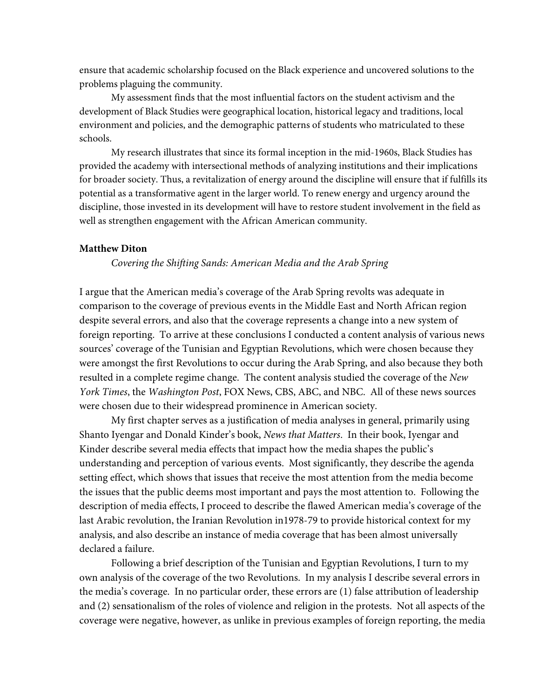ensure that academic scholarship focused on the Black experience and uncovered solutions to the problems plaguing the community.

My assessment finds that the most influential factors on the student activism and the development of Black Studies were geographical location, historical legacy and traditions, local environment and policies, and the demographic patterns of students who matriculated to these schools.

My research illustrates that since its formal inception in the mid-1960s, Black Studies has provided the academy with intersectional methods of analyzing institutions and their implications for broader society. Thus, a revitalization of energy around the discipline will ensure that if fulfills its potential as a transformative agent in the larger world. To renew energy and urgency around the discipline, those invested in its development will have to restore student involvement in the field as well as strengthen engagement with the African American community.

## **Matthew Diton**

*Covering the Shifting Sands: American Media and the Arab Spring*

I argue that the American media's coverage of the Arab Spring revolts was adequate in comparison to the coverage of previous events in the Middle East and North African region despite several errors, and also that the coverage represents a change into a new system of foreign reporting. To arrive at these conclusions I conducted a content analysis of various news sources' coverage of the Tunisian and Egyptian Revolutions, which were chosen because they were amongst the first Revolutions to occur during the Arab Spring, and also because they both resulted in a complete regime change. The content analysis studied the coverage of the *New York Times*, the *Washington Post*, FOX News, CBS, ABC, and NBC. All of these news sources were chosen due to their widespread prominence in American society.

My first chapter serves as a justification of media analyses in general, primarily using Shanto Iyengar and Donald Kinder's book, *News that Matters*. In their book, Iyengar and Kinder describe several media effects that impact how the media shapes the public's understanding and perception of various events. Most significantly, they describe the agenda setting effect, which shows that issues that receive the most attention from the media become the issues that the public deems most important and pays the most attention to. Following the description of media effects, I proceed to describe the flawed American media's coverage of the last Arabic revolution, the Iranian Revolution in1978-79 to provide historical context for my analysis, and also describe an instance of media coverage that has been almost universally declared a failure.

Following a brief description of the Tunisian and Egyptian Revolutions, I turn to my own analysis of the coverage of the two Revolutions. In my analysis I describe several errors in the media's coverage. In no particular order, these errors are (1) false attribution of leadership and (2) sensationalism of the roles of violence and religion in the protests. Not all aspects of the coverage were negative, however, as unlike in previous examples of foreign reporting, the media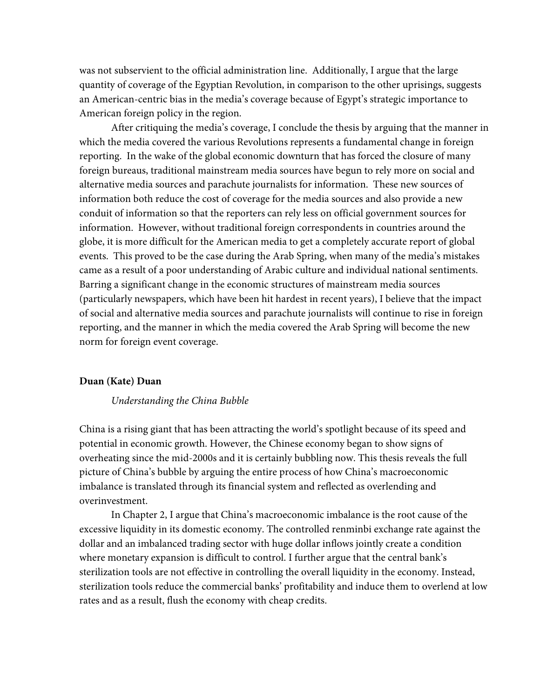was not subservient to the official administration line. Additionally, I argue that the large quantity of coverage of the Egyptian Revolution, in comparison to the other uprisings, suggests an American-centric bias in the media's coverage because of Egypt's strategic importance to American foreign policy in the region.

After critiquing the media's coverage, I conclude the thesis by arguing that the manner in which the media covered the various Revolutions represents a fundamental change in foreign reporting. In the wake of the global economic downturn that has forced the closure of many foreign bureaus, traditional mainstream media sources have begun to rely more on social and alternative media sources and parachute journalists for information. These new sources of information both reduce the cost of coverage for the media sources and also provide a new conduit of information so that the reporters can rely less on official government sources for information. However, without traditional foreign correspondents in countries around the globe, it is more difficult for the American media to get a completely accurate report of global events. This proved to be the case during the Arab Spring, when many of the media's mistakes came as a result of a poor understanding of Arabic culture and individual national sentiments. Barring a significant change in the economic structures of mainstream media sources (particularly newspapers, which have been hit hardest in recent years), I believe that the impact of social and alternative media sources and parachute journalists will continue to rise in foreign reporting, and the manner in which the media covered the Arab Spring will become the new norm for foreign event coverage.

#### **Duan (Kate) Duan**

#### *Understanding the China Bubble*

China is a rising giant that has been attracting the world's spotlight because of its speed and potential in economic growth. However, the Chinese economy began to show signs of overheating since the mid-2000s and it is certainly bubbling now. This thesis reveals the full picture of China's bubble by arguing the entire process of how China's macroeconomic imbalance is translated through its financial system and reflected as overlending and overinvestment.

In Chapter 2, I argue that China's macroeconomic imbalance is the root cause of the excessive liquidity in its domestic economy. The controlled renminbi exchange rate against the dollar and an imbalanced trading sector with huge dollar inflows jointly create a condition where monetary expansion is difficult to control. I further argue that the central bank's sterilization tools are not effective in controlling the overall liquidity in the economy. Instead, sterilization tools reduce the commercial banks' profitability and induce them to overlend at low rates and as a result, flush the economy with cheap credits.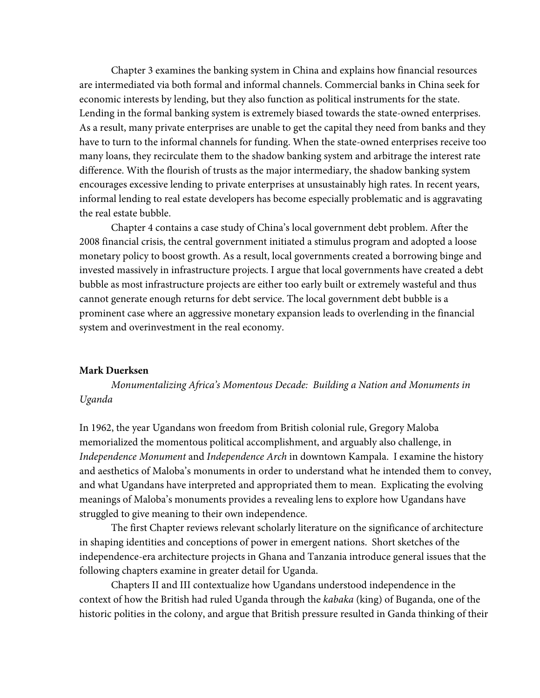Chapter 3 examines the banking system in China and explains how financial resources are intermediated via both formal and informal channels. Commercial banks in China seek for economic interests by lending, but they also function as political instruments for the state. Lending in the formal banking system is extremely biased towards the state-owned enterprises. As a result, many private enterprises are unable to get the capital they need from banks and they have to turn to the informal channels for funding. When the state-owned enterprises receive too many loans, they recirculate them to the shadow banking system and arbitrage the interest rate difference. With the flourish of trusts as the major intermediary, the shadow banking system encourages excessive lending to private enterprises at unsustainably high rates. In recent years, informal lending to real estate developers has become especially problematic and is aggravating the real estate bubble.

Chapter 4 contains a case study of China's local government debt problem. After the 2008 financial crisis, the central government initiated a stimulus program and adopted a loose monetary policy to boost growth. As a result, local governments created a borrowing binge and invested massively in infrastructure projects. I argue that local governments have created a debt bubble as most infrastructure projects are either too early built or extremely wasteful and thus cannot generate enough returns for debt service. The local government debt bubble is a prominent case where an aggressive monetary expansion leads to overlending in the financial system and overinvestment in the real economy.

## **Mark Duerksen**

*Monumentalizing Africa's Momentous Decade: Building a Nation and Monuments in Uganda*

In 1962, the year Ugandans won freedom from British colonial rule, Gregory Maloba memorialized the momentous political accomplishment, and arguably also challenge, in *Independence Monument* and *Independence Arch* in downtown Kampala. I examine the history and aesthetics of Maloba's monuments in order to understand what he intended them to convey, and what Ugandans have interpreted and appropriated them to mean. Explicating the evolving meanings of Maloba's monuments provides a revealing lens to explore how Ugandans have struggled to give meaning to their own independence.

The first Chapter reviews relevant scholarly literature on the significance of architecture in shaping identities and conceptions of power in emergent nations. Short sketches of the independence-era architecture projects in Ghana and Tanzania introduce general issues that the following chapters examine in greater detail for Uganda.

Chapters II and III contextualize how Ugandans understood independence in the context of how the British had ruled Uganda through the *kabaka* (king) of Buganda, one of the historic polities in the colony, and argue that British pressure resulted in Ganda thinking of their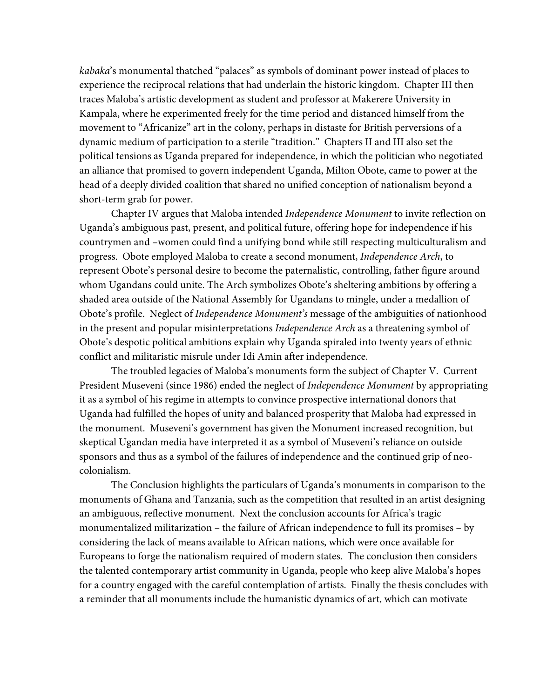*kabaka*'s monumental thatched "palaces" as symbols of dominant power instead of places to experience the reciprocal relations that had underlain the historic kingdom. Chapter III then traces Maloba's artistic development as student and professor at Makerere University in Kampala, where he experimented freely for the time period and distanced himself from the movement to "Africanize" art in the colony, perhaps in distaste for British perversions of a dynamic medium of participation to a sterile "tradition." Chapters II and III also set the political tensions as Uganda prepared for independence, in which the politician who negotiated an alliance that promised to govern independent Uganda, Milton Obote, came to power at the head of a deeply divided coalition that shared no unified conception of nationalism beyond a short-term grab for power.

Chapter IV argues that Maloba intended *Independence Monument* to invite reflection on Uganda's ambiguous past, present, and political future, offering hope for independence if his countrymen and –women could find a unifying bond while still respecting multiculturalism and progress. Obote employed Maloba to create a second monument, *Independence Arch*, to represent Obote's personal desire to become the paternalistic, controlling, father figure around whom Ugandans could unite. The Arch symbolizes Obote's sheltering ambitions by offering a shaded area outside of the National Assembly for Ugandans to mingle, under a medallion of Obote's profile. Neglect of *Independence Monument's* message of the ambiguities of nationhood in the present and popular misinterpretations *Independence Arch* as a threatening symbol of Obote's despotic political ambitions explain why Uganda spiraled into twenty years of ethnic conflict and militaristic misrule under Idi Amin after independence.

The troubled legacies of Maloba's monuments form the subject of Chapter V. Current President Museveni (since 1986) ended the neglect of *Independence Monument* by appropriating it as a symbol of his regime in attempts to convince prospective international donors that Uganda had fulfilled the hopes of unity and balanced prosperity that Maloba had expressed in the monument. Museveni's government has given the Monument increased recognition, but skeptical Ugandan media have interpreted it as a symbol of Museveni's reliance on outside sponsors and thus as a symbol of the failures of independence and the continued grip of neocolonialism.

The Conclusion highlights the particulars of Uganda's monuments in comparison to the monuments of Ghana and Tanzania, such as the competition that resulted in an artist designing an ambiguous, reflective monument. Next the conclusion accounts for Africa's tragic monumentalized militarization – the failure of African independence to full its promises – by considering the lack of means available to African nations, which were once available for Europeans to forge the nationalism required of modern states. The conclusion then considers the talented contemporary artist community in Uganda, people who keep alive Maloba's hopes for a country engaged with the careful contemplation of artists. Finally the thesis concludes with a reminder that all monuments include the humanistic dynamics of art, which can motivate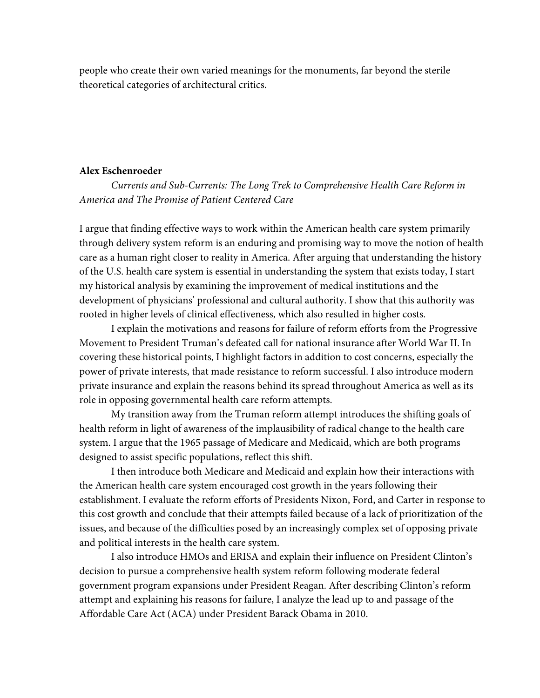people who create their own varied meanings for the monuments, far beyond the sterile theoretical categories of architectural critics.

# **Alex Eschenroeder**

*Currents and Sub-Currents: The Long Trek to Comprehensive Health Care Reform in America and The Promise of Patient Centered Care*

I argue that finding effective ways to work within the American health care system primarily through delivery system reform is an enduring and promising way to move the notion of health care as a human right closer to reality in America. After arguing that understanding the history of the U.S. health care system is essential in understanding the system that exists today, I start my historical analysis by examining the improvement of medical institutions and the development of physicians' professional and cultural authority. I show that this authority was rooted in higher levels of clinical effectiveness, which also resulted in higher costs.

I explain the motivations and reasons for failure of reform efforts from the Progressive Movement to President Truman's defeated call for national insurance after World War II. In covering these historical points, I highlight factors in addition to cost concerns, especially the power of private interests, that made resistance to reform successful. I also introduce modern private insurance and explain the reasons behind its spread throughout America as well as its role in opposing governmental health care reform attempts.

My transition away from the Truman reform attempt introduces the shifting goals of health reform in light of awareness of the implausibility of radical change to the health care system. I argue that the 1965 passage of Medicare and Medicaid, which are both programs designed to assist specific populations, reflect this shift.

I then introduce both Medicare and Medicaid and explain how their interactions with the American health care system encouraged cost growth in the years following their establishment. I evaluate the reform efforts of Presidents Nixon, Ford, and Carter in response to this cost growth and conclude that their attempts failed because of a lack of prioritization of the issues, and because of the difficulties posed by an increasingly complex set of opposing private and political interests in the health care system.

I also introduce HMOs and ERISA and explain their influence on President Clinton's decision to pursue a comprehensive health system reform following moderate federal government program expansions under President Reagan. After describing Clinton's reform attempt and explaining his reasons for failure, I analyze the lead up to and passage of the Affordable Care Act (ACA) under President Barack Obama in 2010.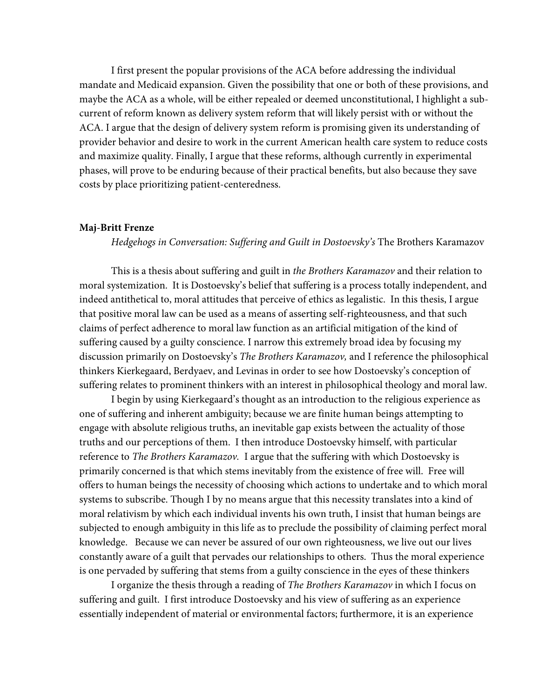I first present the popular provisions of the ACA before addressing the individual mandate and Medicaid expansion. Given the possibility that one or both of these provisions, and maybe the ACA as a whole, will be either repealed or deemed unconstitutional, I highlight a subcurrent of reform known as delivery system reform that will likely persist with or without the ACA. I argue that the design of delivery system reform is promising given its understanding of provider behavior and desire to work in the current American health care system to reduce costs and maximize quality. Finally, I argue that these reforms, although currently in experimental phases, will prove to be enduring because of their practical benefits, but also because they save costs by place prioritizing patient-centeredness.

#### **Maj-Britt Frenze**

*Hedgehogs in Conversation: Suffering and Guilt in Dostoevsky's* The Brothers Karamazov

This is a thesis about suffering and guilt in *the Brothers Karamazov* and their relation to moral systemization. It is Dostoevsky's belief that suffering is a process totally independent, and indeed antithetical to, moral attitudes that perceive of ethics as legalistic. In this thesis, I argue that positive moral law can be used as a means of asserting self-righteousness, and that such claims of perfect adherence to moral law function as an artificial mitigation of the kind of suffering caused by a guilty conscience. I narrow this extremely broad idea by focusing my discussion primarily on Dostoevsky's *The Brothers Karamazov,* and I reference the philosophical thinkers Kierkegaard, Berdyaev, and Levinas in order to see how Dostoevsky's conception of suffering relates to prominent thinkers with an interest in philosophical theology and moral law.

I begin by using Kierkegaard's thought as an introduction to the religious experience as one of suffering and inherent ambiguity; because we are finite human beings attempting to engage with absolute religious truths, an inevitable gap exists between the actuality of those truths and our perceptions of them. I then introduce Dostoevsky himself, with particular reference to *The Brothers Karamazov.* I argue that the suffering with which Dostoevsky is primarily concerned is that which stems inevitably from the existence of free will. Free will offers to human beings the necessity of choosing which actions to undertake and to which moral systems to subscribe. Though I by no means argue that this necessity translates into a kind of moral relativism by which each individual invents his own truth, I insist that human beings are subjected to enough ambiguity in this life as to preclude the possibility of claiming perfect moral knowledge. Because we can never be assured of our own righteousness, we live out our lives constantly aware of a guilt that pervades our relationships to others. Thus the moral experience is one pervaded by suffering that stems from a guilty conscience in the eyes of these thinkers

I organize the thesis through a reading of *The Brothers Karamazov* in which I focus on suffering and guilt. I first introduce Dostoevsky and his view of suffering as an experience essentially independent of material or environmental factors; furthermore, it is an experience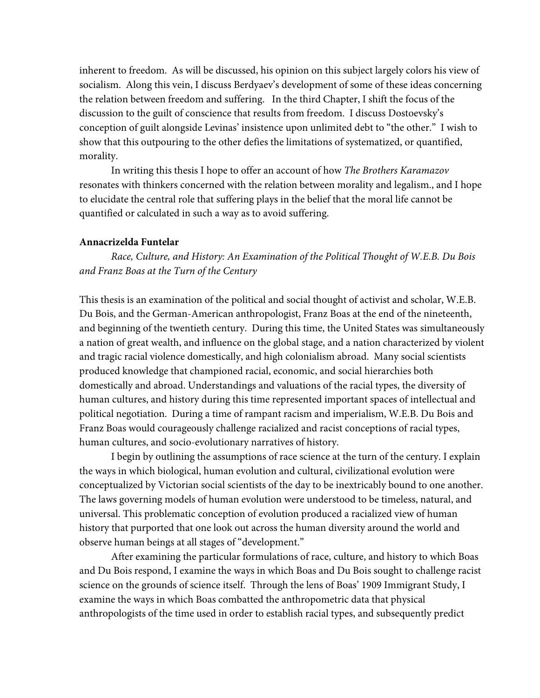inherent to freedom. As will be discussed, his opinion on this subject largely colors his view of socialism. Along this vein, I discuss Berdyaev's development of some of these ideas concerning the relation between freedom and suffering. In the third Chapter, I shift the focus of the discussion to the guilt of conscience that results from freedom. I discuss Dostoevsky's conception of guilt alongside Levinas' insistence upon unlimited debt to "the other." I wish to show that this outpouring to the other defies the limitations of systematized, or quantified, morality.

In writing this thesis I hope to offer an account of how *The Brothers Karamazov*  resonates with thinkers concerned with the relation between morality and legalism., and I hope to elucidate the central role that suffering plays in the belief that the moral life cannot be quantified or calculated in such a way as to avoid suffering.

# **Annacrizelda Funtelar**

*Race, Culture, and History: An Examination of the Political Thought of W.E.B. Du Bois and Franz Boas at the Turn of the Century*

This thesis is an examination of the political and social thought of activist and scholar, W.E.B. Du Bois, and the German-American anthropologist, Franz Boas at the end of the nineteenth, and beginning of the twentieth century. During this time, the United States was simultaneously a nation of great wealth, and influence on the global stage, and a nation characterized by violent and tragic racial violence domestically, and high colonialism abroad. Many social scientists produced knowledge that championed racial, economic, and social hierarchies both domestically and abroad. Understandings and valuations of the racial types, the diversity of human cultures, and history during this time represented important spaces of intellectual and political negotiation. During a time of rampant racism and imperialism, W.E.B. Du Bois and Franz Boas would courageously challenge racialized and racist conceptions of racial types, human cultures, and socio-evolutionary narratives of history.

I begin by outlining the assumptions of race science at the turn of the century. I explain the ways in which biological, human evolution and cultural, civilizational evolution were conceptualized by Victorian social scientists of the day to be inextricably bound to one another. The laws governing models of human evolution were understood to be timeless, natural, and universal. This problematic conception of evolution produced a racialized view of human history that purported that one look out across the human diversity around the world and observe human beings at all stages of "development."

After examining the particular formulations of race, culture, and history to which Boas and Du Bois respond, I examine the ways in which Boas and Du Bois sought to challenge racist science on the grounds of science itself. Through the lens of Boas' 1909 Immigrant Study, I examine the ways in which Boas combatted the anthropometric data that physical anthropologists of the time used in order to establish racial types, and subsequently predict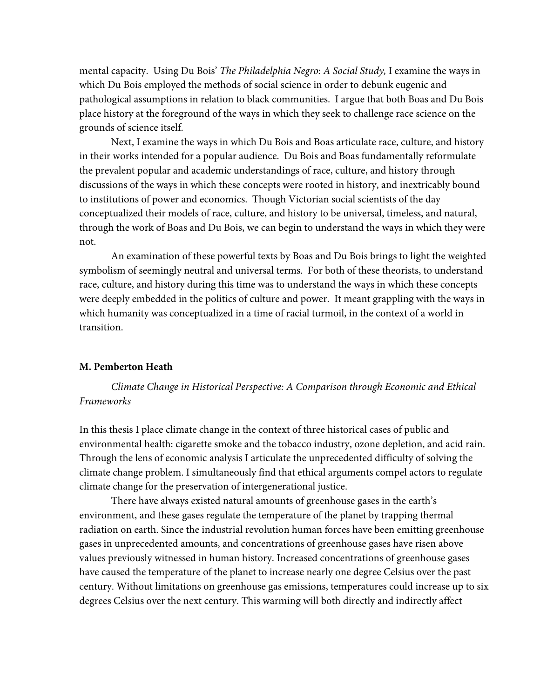mental capacity. Using Du Bois' *The Philadelphia Negro: A Social Study,* I examine the ways in which Du Bois employed the methods of social science in order to debunk eugenic and pathological assumptions in relation to black communities. I argue that both Boas and Du Bois place history at the foreground of the ways in which they seek to challenge race science on the grounds of science itself.

Next, I examine the ways in which Du Bois and Boas articulate race, culture, and history in their works intended for a popular audience. Du Bois and Boas fundamentally reformulate the prevalent popular and academic understandings of race, culture, and history through discussions of the ways in which these concepts were rooted in history, and inextricably bound to institutions of power and economics. Though Victorian social scientists of the day conceptualized their models of race, culture, and history to be universal, timeless, and natural, through the work of Boas and Du Bois, we can begin to understand the ways in which they were not.

An examination of these powerful texts by Boas and Du Bois brings to light the weighted symbolism of seemingly neutral and universal terms. For both of these theorists, to understand race, culture, and history during this time was to understand the ways in which these concepts were deeply embedded in the politics of culture and power. It meant grappling with the ways in which humanity was conceptualized in a time of racial turmoil, in the context of a world in transition.

# **M. Pemberton Heath**

*Climate Change in Historical Perspective: A Comparison through Economic and Ethical Frameworks* 

In this thesis I place climate change in the context of three historical cases of public and environmental health: cigarette smoke and the tobacco industry, ozone depletion, and acid rain. Through the lens of economic analysis I articulate the unprecedented difficulty of solving the climate change problem. I simultaneously find that ethical arguments compel actors to regulate climate change for the preservation of intergenerational justice.

There have always existed natural amounts of greenhouse gases in the earth's environment, and these gases regulate the temperature of the planet by trapping thermal radiation on earth. Since the industrial revolution human forces have been emitting greenhouse gases in unprecedented amounts, and concentrations of greenhouse gases have risen above values previously witnessed in human history. Increased concentrations of greenhouse gases have caused the temperature of the planet to increase nearly one degree Celsius over the past century. Without limitations on greenhouse gas emissions, temperatures could increase up to six degrees Celsius over the next century. This warming will both directly and indirectly affect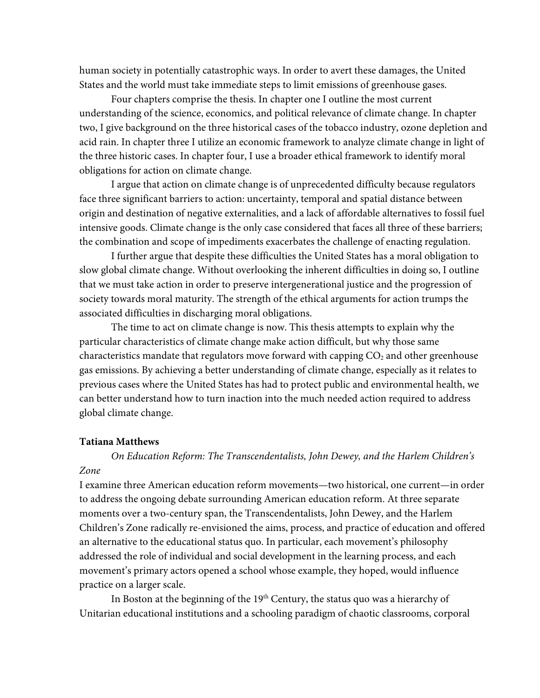human society in potentially catastrophic ways. In order to avert these damages, the United States and the world must take immediate steps to limit emissions of greenhouse gases.

Four chapters comprise the thesis. In chapter one I outline the most current understanding of the science, economics, and political relevance of climate change. In chapter two, I give background on the three historical cases of the tobacco industry, ozone depletion and acid rain. In chapter three I utilize an economic framework to analyze climate change in light of the three historic cases. In chapter four, I use a broader ethical framework to identify moral obligations for action on climate change.

I argue that action on climate change is of unprecedented difficulty because regulators face three significant barriers to action: uncertainty, temporal and spatial distance between origin and destination of negative externalities, and a lack of affordable alternatives to fossil fuel intensive goods. Climate change is the only case considered that faces all three of these barriers; the combination and scope of impediments exacerbates the challenge of enacting regulation.

I further argue that despite these difficulties the United States has a moral obligation to slow global climate change. Without overlooking the inherent difficulties in doing so, I outline that we must take action in order to preserve intergenerational justice and the progression of society towards moral maturity. The strength of the ethical arguments for action trumps the associated difficulties in discharging moral obligations.

The time to act on climate change is now. This thesis attempts to explain why the particular characteristics of climate change make action difficult, but why those same characteristics mandate that regulators move forward with capping  $CO<sub>2</sub>$  and other greenhouse gas emissions. By achieving a better understanding of climate change, especially as it relates to previous cases where the United States has had to protect public and environmental health, we can better understand how to turn inaction into the much needed action required to address global climate change.

## **Tatiana Matthews**

*On Education Reform: The Transcendentalists, John Dewey, and the Harlem Children's Zone*

I examine three American education reform movements—two historical, one current—in order to address the ongoing debate surrounding American education reform. At three separate moments over a two-century span, the Transcendentalists, John Dewey, and the Harlem Children's Zone radically re-envisioned the aims, process, and practice of education and offered an alternative to the educational status quo. In particular, each movement's philosophy addressed the role of individual and social development in the learning process, and each movement's primary actors opened a school whose example, they hoped, would influence practice on a larger scale.

In Boston at the beginning of the  $19<sup>th</sup>$  Century, the status quo was a hierarchy of Unitarian educational institutions and a schooling paradigm of chaotic classrooms, corporal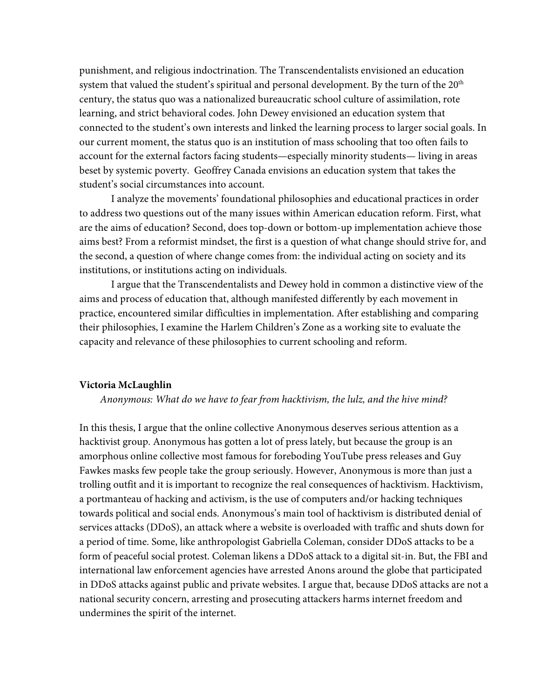punishment, and religious indoctrination. The Transcendentalists envisioned an education system that valued the student's spiritual and personal development. By the turn of the  $20<sup>th</sup>$ century, the status quo was a nationalized bureaucratic school culture of assimilation, rote learning, and strict behavioral codes. John Dewey envisioned an education system that connected to the student's own interests and linked the learning process to larger social goals. In our current moment, the status quo is an institution of mass schooling that too often fails to account for the external factors facing students—especially minority students— living in areas beset by systemic poverty. Geoffrey Canada envisions an education system that takes the student's social circumstances into account.

I analyze the movements' foundational philosophies and educational practices in order to address two questions out of the many issues within American education reform. First, what are the aims of education? Second, does top-down or bottom-up implementation achieve those aims best? From a reformist mindset, the first is a question of what change should strive for, and the second, a question of where change comes from: the individual acting on society and its institutions, or institutions acting on individuals.

I argue that the Transcendentalists and Dewey hold in common a distinctive view of the aims and process of education that, although manifested differently by each movement in practice, encountered similar difficulties in implementation. After establishing and comparing their philosophies, I examine the Harlem Children's Zone as a working site to evaluate the capacity and relevance of these philosophies to current schooling and reform.

## **Victoria McLaughlin**

## *Anonymous: What do we have to fear from hacktivism, the lulz, and the hive mind?*

In this thesis, I argue that the online collective Anonymous deserves serious attention as a hacktivist group. Anonymous has gotten a lot of press lately, but because the group is an amorphous online collective most famous for foreboding YouTube press releases and Guy Fawkes masks few people take the group seriously. However, Anonymous is more than just a trolling outfit and it is important to recognize the real consequences of hacktivism. Hacktivism, a portmanteau of hacking and activism, is the use of computers and/or hacking techniques towards political and social ends. Anonymous's main tool of hacktivism is distributed denial of services attacks (DDoS), an attack where a website is overloaded with traffic and shuts down for a period of time. Some, like anthropologist Gabriella Coleman, consider DDoS attacks to be a form of peaceful social protest. Coleman likens a DDoS attack to a digital sit-in. But, the FBI and international law enforcement agencies have arrested Anons around the globe that participated in DDoS attacks against public and private websites. I argue that, because DDoS attacks are not a national security concern, arresting and prosecuting attackers harms internet freedom and undermines the spirit of the internet.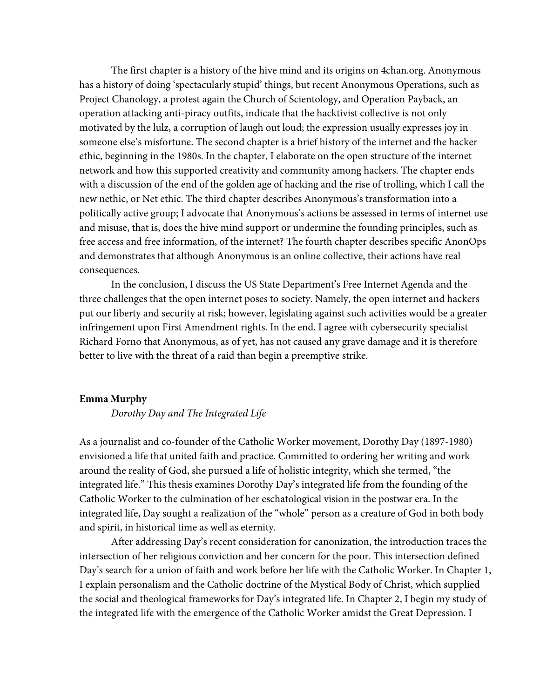The first chapter is a history of the hive mind and its origins on 4chan.org. Anonymous has a history of doing 'spectacularly stupid' things, but recent Anonymous Operations, such as Project Chanology, a protest again the Church of Scientology, and Operation Payback, an operation attacking anti-piracy outfits, indicate that the hacktivist collective is not only motivated by the lulz, a corruption of laugh out loud; the expression usually expresses joy in someone else's misfortune. The second chapter is a brief history of the internet and the hacker ethic, beginning in the 1980s. In the chapter, I elaborate on the open structure of the internet network and how this supported creativity and community among hackers. The chapter ends with a discussion of the end of the golden age of hacking and the rise of trolling, which I call the new nethic, or Net ethic. The third chapter describes Anonymous's transformation into a politically active group; I advocate that Anonymous's actions be assessed in terms of internet use and misuse, that is, does the hive mind support or undermine the founding principles, such as free access and free information, of the internet? The fourth chapter describes specific AnonOps and demonstrates that although Anonymous is an online collective, their actions have real consequences.

In the conclusion, I discuss the US State Department's Free Internet Agenda and the three challenges that the open internet poses to society. Namely, the open internet and hackers put our liberty and security at risk; however, legislating against such activities would be a greater infringement upon First Amendment rights. In the end, I agree with cybersecurity specialist Richard Forno that Anonymous, as of yet, has not caused any grave damage and it is therefore better to live with the threat of a raid than begin a preemptive strike.

# **Emma Murphy**

*Dorothy Day and The Integrated Life*

As a journalist and co-founder of the Catholic Worker movement, Dorothy Day (1897-1980) envisioned a life that united faith and practice. Committed to ordering her writing and work around the reality of God, she pursued a life of holistic integrity, which she termed, "the integrated life." This thesis examines Dorothy Day's integrated life from the founding of the Catholic Worker to the culmination of her eschatological vision in the postwar era. In the integrated life, Day sought a realization of the "whole" person as a creature of God in both body and spirit, in historical time as well as eternity.

After addressing Day's recent consideration for canonization, the introduction traces the intersection of her religious conviction and her concern for the poor. This intersection defined Day's search for a union of faith and work before her life with the Catholic Worker. In Chapter 1, I explain personalism and the Catholic doctrine of the Mystical Body of Christ, which supplied the social and theological frameworks for Day's integrated life. In Chapter 2, I begin my study of the integrated life with the emergence of the Catholic Worker amidst the Great Depression. I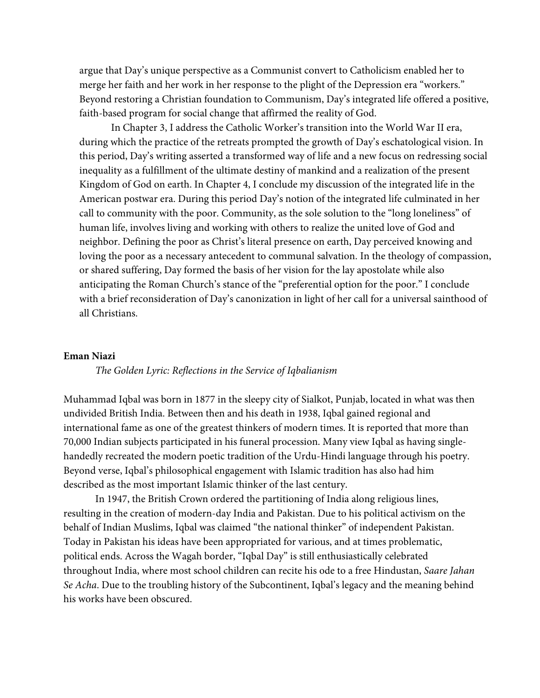argue that Day's unique perspective as a Communist convert to Catholicism enabled her to merge her faith and her work in her response to the plight of the Depression era "workers." Beyond restoring a Christian foundation to Communism, Day's integrated life offered a positive, faith-based program for social change that affirmed the reality of God.

In Chapter 3, I address the Catholic Worker's transition into the World War II era, during which the practice of the retreats prompted the growth of Day's eschatological vision. In this period, Day's writing asserted a transformed way of life and a new focus on redressing social inequality as a fulfillment of the ultimate destiny of mankind and a realization of the present Kingdom of God on earth. In Chapter 4, I conclude my discussion of the integrated life in the American postwar era. During this period Day's notion of the integrated life culminated in her call to community with the poor. Community, as the sole solution to the "long loneliness" of human life, involves living and working with others to realize the united love of God and neighbor. Defining the poor as Christ's literal presence on earth, Day perceived knowing and loving the poor as a necessary antecedent to communal salvation. In the theology of compassion, or shared suffering, Day formed the basis of her vision for the lay apostolate while also anticipating the Roman Church's stance of the "preferential option for the poor." I conclude with a brief reconsideration of Day's canonization in light of her call for a universal sainthood of all Christians.

## **Eman Niazi**

#### *The Golden Lyric: Reflections in the Service of Iqbalianism*

Muhammad Iqbal was born in 1877 in the sleepy city of Sialkot, Punjab, located in what was then undivided British India. Between then and his death in 1938, Iqbal gained regional and international fame as one of the greatest thinkers of modern times. It is reported that more than 70,000 Indian subjects participated in his funeral procession. Many view Iqbal as having singlehandedly recreated the modern poetic tradition of the Urdu-Hindi language through his poetry. Beyond verse, Iqbal's philosophical engagement with Islamic tradition has also had him described as the most important Islamic thinker of the last century.

In 1947, the British Crown ordered the partitioning of India along religious lines, resulting in the creation of modern-day India and Pakistan. Due to his political activism on the behalf of Indian Muslims, Iqbal was claimed "the national thinker" of independent Pakistan. Today in Pakistan his ideas have been appropriated for various, and at times problematic, political ends. Across the Wagah border, "Iqbal Day" is still enthusiastically celebrated throughout India, where most school children can recite his ode to a free Hindustan, *Saare Jahan Se Acha*. Due to the troubling history of the Subcontinent, Iqbal's legacy and the meaning behind his works have been obscured.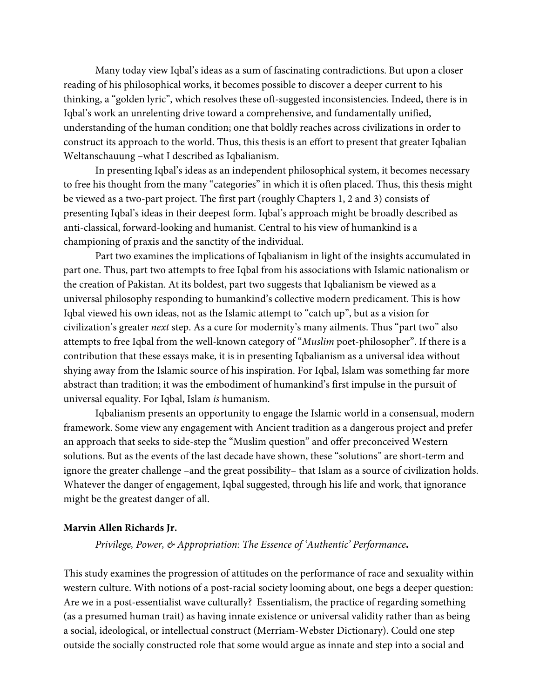Many today view Iqbal's ideas as a sum of fascinating contradictions. But upon a closer reading of his philosophical works, it becomes possible to discover a deeper current to his thinking, a "golden lyric", which resolves these oft-suggested inconsistencies. Indeed, there is in Iqbal's work an unrelenting drive toward a comprehensive, and fundamentally unified, understanding of the human condition; one that boldly reaches across civilizations in order to construct its approach to the world. Thus, this thesis is an effort to present that greater Iqbalian Weltanschauung –what I described as Iqbalianism.

In presenting Iqbal's ideas as an independent philosophical system, it becomes necessary to free his thought from the many "categories" in which it is often placed. Thus, this thesis might be viewed as a two-part project. The first part (roughly Chapters 1, 2 and 3) consists of presenting Iqbal's ideas in their deepest form. Iqbal's approach might be broadly described as anti-classical, forward-looking and humanist. Central to his view of humankind is a championing of praxis and the sanctity of the individual.

Part two examines the implications of Iqbalianism in light of the insights accumulated in part one. Thus, part two attempts to free Iqbal from his associations with Islamic nationalism or the creation of Pakistan. At its boldest, part two suggests that Iqbalianism be viewed as a universal philosophy responding to humankind's collective modern predicament. This is how Iqbal viewed his own ideas, not as the Islamic attempt to "catch up", but as a vision for civilization's greater *next* step. As a cure for modernity's many ailments. Thus "part two" also attempts to free Iqbal from the well-known category of "*Muslim* poet-philosopher". If there is a contribution that these essays make, it is in presenting Iqbalianism as a universal idea without shying away from the Islamic source of his inspiration. For Iqbal, Islam was something far more abstract than tradition; it was the embodiment of humankind's first impulse in the pursuit of universal equality. For Iqbal, Islam *is* humanism.

Iqbalianism presents an opportunity to engage the Islamic world in a consensual, modern framework. Some view any engagement with Ancient tradition as a dangerous project and prefer an approach that seeks to side-step the "Muslim question" and offer preconceived Western solutions. But as the events of the last decade have shown, these "solutions" are short-term and ignore the greater challenge –and the great possibility– that Islam as a source of civilization holds. Whatever the danger of engagement, Iqbal suggested, through his life and work, that ignorance might be the greatest danger of all.

## **Marvin Allen Richards Jr.**

*Privilege, Power, & Appropriation: The Essence of 'Authentic' Performance.*

This study examines the progression of attitudes on the performance of race and sexuality within western culture. With notions of a post-racial society looming about, one begs a deeper question: Are we in a post-essentialist wave culturally? Essentialism, the practice of regarding something (as a presumed human trait) as having innate existence or universal validity rather than as being a social, ideological, or intellectual construct (Merriam-Webster Dictionary). Could one step outside the socially constructed role that some would argue as innate and step into a social and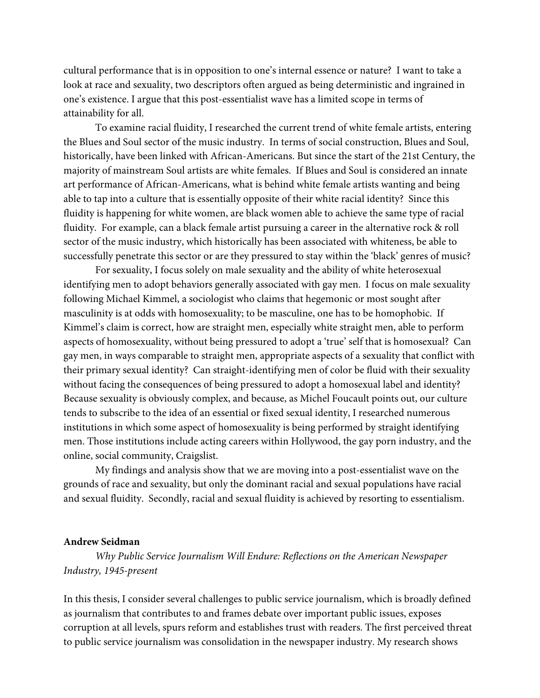cultural performance that is in opposition to one's internal essence or nature? I want to take a look at race and sexuality, two descriptors often argued as being deterministic and ingrained in one's existence. I argue that this post-essentialist wave has a limited scope in terms of attainability for all.

To examine racial fluidity, I researched the current trend of white female artists, entering the Blues and Soul sector of the music industry. In terms of social construction, Blues and Soul, historically, have been linked with African-Americans. But since the start of the 21st Century, the majority of mainstream Soul artists are white females. If Blues and Soul is considered an innate art performance of African-Americans, what is behind white female artists wanting and being able to tap into a culture that is essentially opposite of their white racial identity? Since this fluidity is happening for white women, are black women able to achieve the same type of racial fluidity. For example, can a black female artist pursuing a career in the alternative rock & roll sector of the music industry, which historically has been associated with whiteness, be able to successfully penetrate this sector or are they pressured to stay within the 'black' genres of music?

For sexuality, I focus solely on male sexuality and the ability of white heterosexual identifying men to adopt behaviors generally associated with gay men. I focus on male sexuality following Michael Kimmel, a sociologist who claims that hegemonic or most sought after masculinity is at odds with homosexuality; to be masculine, one has to be homophobic. If Kimmel's claim is correct, how are straight men, especially white straight men, able to perform aspects of homosexuality, without being pressured to adopt a 'true' self that is homosexual? Can gay men, in ways comparable to straight men, appropriate aspects of a sexuality that conflict with their primary sexual identity? Can straight-identifying men of color be fluid with their sexuality without facing the consequences of being pressured to adopt a homosexual label and identity? Because sexuality is obviously complex, and because, as Michel Foucault points out, our culture tends to subscribe to the idea of an essential or fixed sexual identity, I researched numerous institutions in which some aspect of homosexuality is being performed by straight identifying men. Those institutions include acting careers within Hollywood, the gay porn industry, and the online, social community, Craigslist.

My findings and analysis show that we are moving into a post-essentialist wave on the grounds of race and sexuality, but only the dominant racial and sexual populations have racial and sexual fluidity. Secondly, racial and sexual fluidity is achieved by resorting to essentialism.

#### **Andrew Seidman**

*Why Public Service Journalism Will Endure: Reflections on the American Newspaper Industry, 1945-present*

In this thesis, I consider several challenges to public service journalism, which is broadly defined as journalism that contributes to and frames debate over important public issues, exposes corruption at all levels, spurs reform and establishes trust with readers. The first perceived threat to public service journalism was consolidation in the newspaper industry. My research shows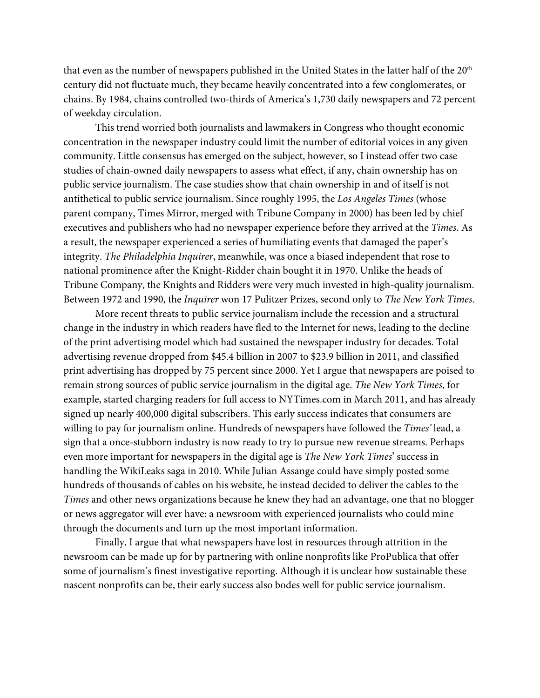that even as the number of newspapers published in the United States in the latter half of the 20<sup>th</sup> century did not fluctuate much, they became heavily concentrated into a few conglomerates, or chains. By 1984, chains controlled two-thirds of America's 1,730 daily newspapers and 72 percent of weekday circulation.

This trend worried both journalists and lawmakers in Congress who thought economic concentration in the newspaper industry could limit the number of editorial voices in any given community. Little consensus has emerged on the subject, however, so I instead offer two case studies of chain-owned daily newspapers to assess what effect, if any, chain ownership has on public service journalism. The case studies show that chain ownership in and of itself is not antithetical to public service journalism. Since roughly 1995, the *Los Angeles Times* (whose parent company, Times Mirror, merged with Tribune Company in 2000) has been led by chief executives and publishers who had no newspaper experience before they arrived at the *Times*. As a result, the newspaper experienced a series of humiliating events that damaged the paper's integrity. *The Philadelphia Inquirer*, meanwhile, was once a biased independent that rose to national prominence after the Knight-Ridder chain bought it in 1970. Unlike the heads of Tribune Company, the Knights and Ridders were very much invested in high-quality journalism. Between 1972 and 1990, the *Inquirer* won 17 Pulitzer Prizes, second only to *The New York Times*.

More recent threats to public service journalism include the recession and a structural change in the industry in which readers have fled to the Internet for news, leading to the decline of the print advertising model which had sustained the newspaper industry for decades. Total advertising revenue dropped from \$45.4 billion in 2007 to \$23.9 billion in 2011, and classified print advertising has dropped by 75 percent since 2000. Yet I argue that newspapers are poised to remain strong sources of public service journalism in the digital age. *The New York Times*, for example, started charging readers for full access to NYTimes.com in March 2011, and has already signed up nearly 400,000 digital subscribers. This early success indicates that consumers are willing to pay for journalism online. Hundreds of newspapers have followed the *Times'* lead, a sign that a once-stubborn industry is now ready to try to pursue new revenue streams. Perhaps even more important for newspapers in the digital age is *The New York Times*' success in handling the WikiLeaks saga in 2010. While Julian Assange could have simply posted some hundreds of thousands of cables on his website, he instead decided to deliver the cables to the *Times* and other news organizations because he knew they had an advantage, one that no blogger or news aggregator will ever have: a newsroom with experienced journalists who could mine through the documents and turn up the most important information.

Finally, I argue that what newspapers have lost in resources through attrition in the newsroom can be made up for by partnering with online nonprofits like ProPublica that offer some of journalism's finest investigative reporting. Although it is unclear how sustainable these nascent nonprofits can be, their early success also bodes well for public service journalism.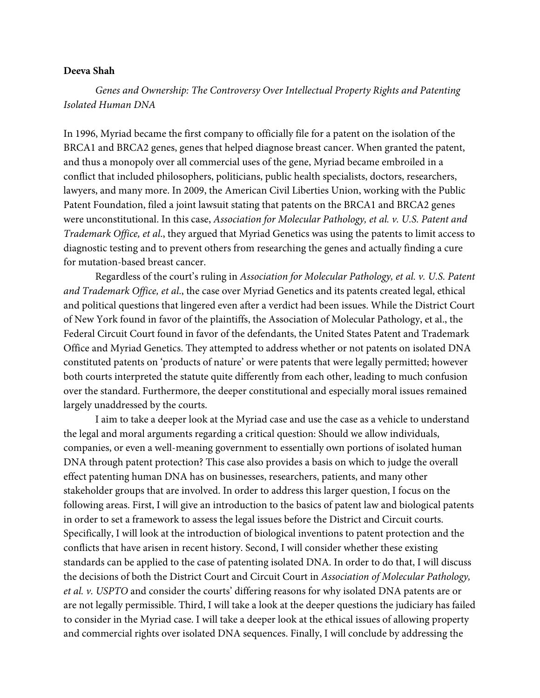## **Deeva Shah**

*Genes and Ownership: The Controversy Over Intellectual Property Rights and Patenting Isolated Human DNA*

In 1996, Myriad became the first company to officially file for a patent on the isolation of the BRCA1 and BRCA2 genes, genes that helped diagnose breast cancer. When granted the patent, and thus a monopoly over all commercial uses of the gene, Myriad became embroiled in a conflict that included philosophers, politicians, public health specialists, doctors, researchers, lawyers, and many more. In 2009, the American Civil Liberties Union, working with the Public Patent Foundation, filed a joint lawsuit stating that patents on the BRCA1 and BRCA2 genes were unconstitutional. In this case, *Association for Molecular Pathology, et al. v. U.S. Patent and Trademark Office, et al*., they argued that Myriad Genetics was using the patents to limit access to diagnostic testing and to prevent others from researching the genes and actually finding a cure for mutation-based breast cancer.

Regardless of the court's ruling in *Association for Molecular Pathology, et al. v. U.S. Patent and Trademark Office, et al*., the case over Myriad Genetics and its patents created legal, ethical and political questions that lingered even after a verdict had been issues. While the District Court of New York found in favor of the plaintiffs, the Association of Molecular Pathology, et al., the Federal Circuit Court found in favor of the defendants, the United States Patent and Trademark Office and Myriad Genetics. They attempted to address whether or not patents on isolated DNA constituted patents on 'products of nature' or were patents that were legally permitted; however both courts interpreted the statute quite differently from each other, leading to much confusion over the standard. Furthermore, the deeper constitutional and especially moral issues remained largely unaddressed by the courts.

I aim to take a deeper look at the Myriad case and use the case as a vehicle to understand the legal and moral arguments regarding a critical question: Should we allow individuals, companies, or even a well-meaning government to essentially own portions of isolated human DNA through patent protection? This case also provides a basis on which to judge the overall effect patenting human DNA has on businesses, researchers, patients, and many other stakeholder groups that are involved. In order to address this larger question, I focus on the following areas. First, I will give an introduction to the basics of patent law and biological patents in order to set a framework to assess the legal issues before the District and Circuit courts. Specifically, I will look at the introduction of biological inventions to patent protection and the conflicts that have arisen in recent history. Second, I will consider whether these existing standards can be applied to the case of patenting isolated DNA. In order to do that, I will discuss the decisions of both the District Court and Circuit Court in *Association of Molecular Pathology, et al. v. USPTO* and consider the courts' differing reasons for why isolated DNA patents are or are not legally permissible. Third, I will take a look at the deeper questions the judiciary has failed to consider in the Myriad case. I will take a deeper look at the ethical issues of allowing property and commercial rights over isolated DNA sequences. Finally, I will conclude by addressing the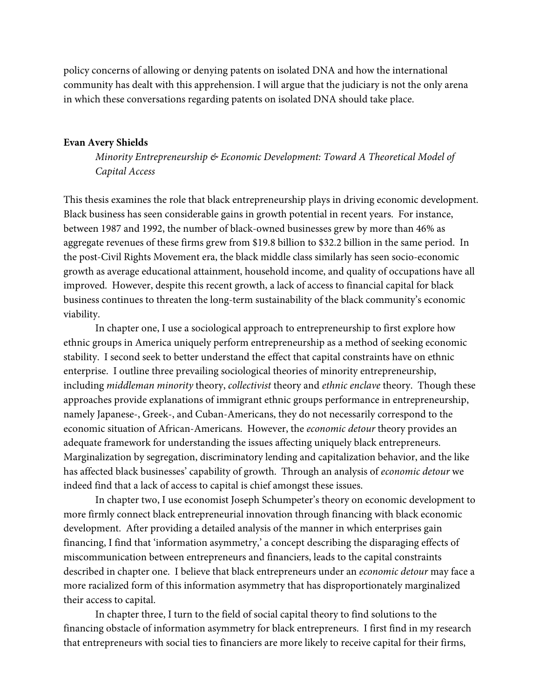policy concerns of allowing or denying patents on isolated DNA and how the international community has dealt with this apprehension. I will argue that the judiciary is not the only arena in which these conversations regarding patents on isolated DNA should take place.

#### **Evan Avery Shields**

*Minority Entrepreneurship & Economic Development: Toward A Theoretical Model of Capital Access*

This thesis examines the role that black entrepreneurship plays in driving economic development. Black business has seen considerable gains in growth potential in recent years. For instance, between 1987 and 1992, the number of black-owned businesses grew by more than 46% as aggregate revenues of these firms grew from \$19.8 billion to \$32.2 billion in the same period. In the post-Civil Rights Movement era, the black middle class similarly has seen socio-economic growth as average educational attainment, household income, and quality of occupations have all improved. However, despite this recent growth, a lack of access to financial capital for black business continues to threaten the long-term sustainability of the black community's economic viability.

In chapter one, I use a sociological approach to entrepreneurship to first explore how ethnic groups in America uniquely perform entrepreneurship as a method of seeking economic stability. I second seek to better understand the effect that capital constraints have on ethnic enterprise. I outline three prevailing sociological theories of minority entrepreneurship, including *middleman minority* theory, *collectivist* theory and *ethnic enclave* theory. Though these approaches provide explanations of immigrant ethnic groups performance in entrepreneurship, namely Japanese-, Greek-, and Cuban-Americans, they do not necessarily correspond to the economic situation of African-Americans. However, the *economic detour* theory provides an adequate framework for understanding the issues affecting uniquely black entrepreneurs. Marginalization by segregation, discriminatory lending and capitalization behavior, and the like has affected black businesses' capability of growth. Through an analysis of *economic detour* we indeed find that a lack of access to capital is chief amongst these issues.

In chapter two, I use economist Joseph Schumpeter's theory on economic development to more firmly connect black entrepreneurial innovation through financing with black economic development. After providing a detailed analysis of the manner in which enterprises gain financing, I find that 'information asymmetry,' a concept describing the disparaging effects of miscommunication between entrepreneurs and financiers, leads to the capital constraints described in chapter one. I believe that black entrepreneurs under an *economic detour* may face a more racialized form of this information asymmetry that has disproportionately marginalized their access to capital.

In chapter three, I turn to the field of social capital theory to find solutions to the financing obstacle of information asymmetry for black entrepreneurs. I first find in my research that entrepreneurs with social ties to financiers are more likely to receive capital for their firms,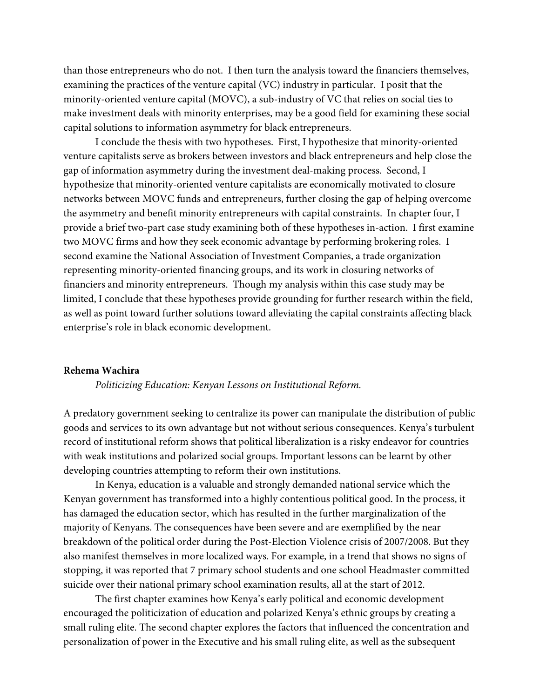than those entrepreneurs who do not. I then turn the analysis toward the financiers themselves, examining the practices of the venture capital (VC) industry in particular. I posit that the minority-oriented venture capital (MOVC), a sub-industry of VC that relies on social ties to make investment deals with minority enterprises, may be a good field for examining these social capital solutions to information asymmetry for black entrepreneurs.

I conclude the thesis with two hypotheses. First, I hypothesize that minority-oriented venture capitalists serve as brokers between investors and black entrepreneurs and help close the gap of information asymmetry during the investment deal-making process. Second, I hypothesize that minority-oriented venture capitalists are economically motivated to closure networks between MOVC funds and entrepreneurs, further closing the gap of helping overcome the asymmetry and benefit minority entrepreneurs with capital constraints. In chapter four, I provide a brief two-part case study examining both of these hypotheses in-action. I first examine two MOVC firms and how they seek economic advantage by performing brokering roles. I second examine the National Association of Investment Companies, a trade organization representing minority-oriented financing groups, and its work in closuring networks of financiers and minority entrepreneurs. Though my analysis within this case study may be limited, I conclude that these hypotheses provide grounding for further research within the field, as well as point toward further solutions toward alleviating the capital constraints affecting black enterprise's role in black economic development.

#### **Rehema Wachira**

*Politicizing Education: Kenyan Lessons on Institutional Reform.*

A predatory government seeking to centralize its power can manipulate the distribution of public goods and services to its own advantage but not without serious consequences. Kenya's turbulent record of institutional reform shows that political liberalization is a risky endeavor for countries with weak institutions and polarized social groups. Important lessons can be learnt by other developing countries attempting to reform their own institutions.

In Kenya, education is a valuable and strongly demanded national service which the Kenyan government has transformed into a highly contentious political good. In the process, it has damaged the education sector, which has resulted in the further marginalization of the majority of Kenyans. The consequences have been severe and are exemplified by the near breakdown of the political order during the Post-Election Violence crisis of 2007/2008. But they also manifest themselves in more localized ways. For example, in a trend that shows no signs of stopping, it was reported that 7 primary school students and one school Headmaster committed suicide over their national primary school examination results, all at the start of 2012.

The first chapter examines how Kenya's early political and economic development encouraged the politicization of education and polarized Kenya's ethnic groups by creating a small ruling elite. The second chapter explores the factors that influenced the concentration and personalization of power in the Executive and his small ruling elite, as well as the subsequent